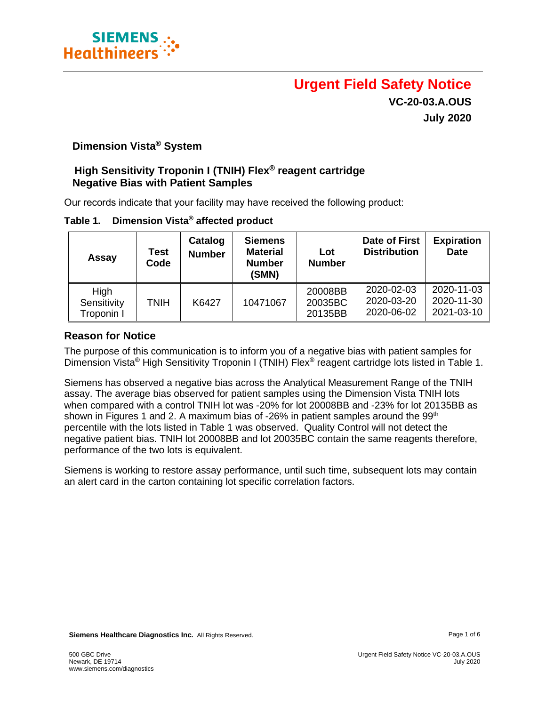

# **Urgent Field Safety Notice VC-20-03.A.OUS July 2020**

## **Dimension Vista® System**

### **High Sensitivity Troponin I (TNIH) Flex® reagent cartridge Negative Bias with Patient Samples**

Our records indicate that your facility may have received the following product:

| Dimension Vista® affected product<br>Table 1. |
|-----------------------------------------------|
|-----------------------------------------------|

| Assay                             | Test<br>Code | Catalog<br><b>Number</b> | <b>Siemens</b><br><b>Material</b><br><b>Number</b><br>(SMN) | Lot<br><b>Number</b>          | Date of First<br><b>Distribution</b>   | <b>Expiration</b><br><b>Date</b>       |
|-----------------------------------|--------------|--------------------------|-------------------------------------------------------------|-------------------------------|----------------------------------------|----------------------------------------|
| High<br>Sensitivity<br>Troponin I | TNIH         | K6427                    | 10471067                                                    | 20008BB<br>20035BC<br>20135BB | 2020-02-03<br>2020-03-20<br>2020-06-02 | 2020-11-03<br>2020-11-30<br>2021-03-10 |

#### **Reason for Notice**

The purpose of this communication is to inform you of a negative bias with patient samples for Dimension Vista® High Sensitivity Troponin I (TNIH) Flex® reagent cartridge lots listed in Table 1.

Siemens has observed a negative bias across the Analytical Measurement Range of the TNIH assay. The average bias observed for patient samples using the Dimension Vista TNIH lots when compared with a control TNIH lot was -20% for lot 20008BB and -23% for lot 20135BB as shown in Figures 1 and 2. A maximum bias of -26% in patient samples around the  $99<sup>th</sup>$ percentile with the lots listed in Table 1 was observed. Quality Control will not detect the negative patient bias. TNIH lot 20008BB and lot 20035BC contain the same reagents therefore, performance of the two lots is equivalent.

Siemens is working to restore assay performance, until such time, subsequent lots may contain an alert card in the carton containing lot specific correlation factors.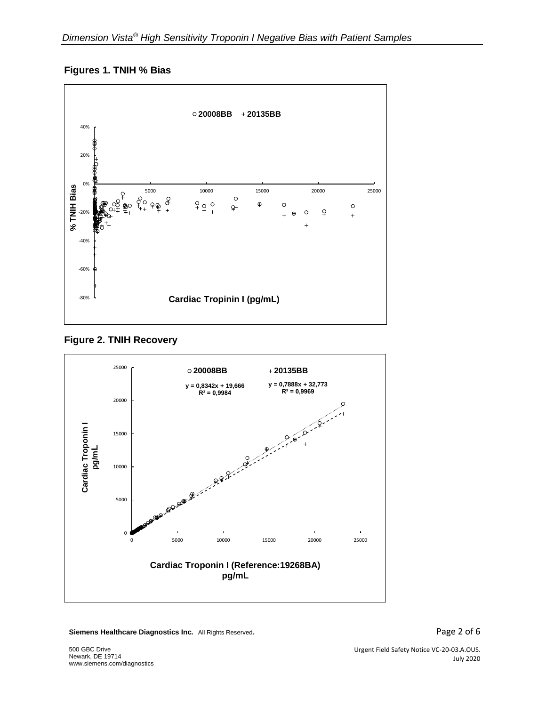







**Siemens Healthcare Diagnostics Inc.** All Rights Reserved. **Page 2 of 6** and  $P$  **Page 2 of 6**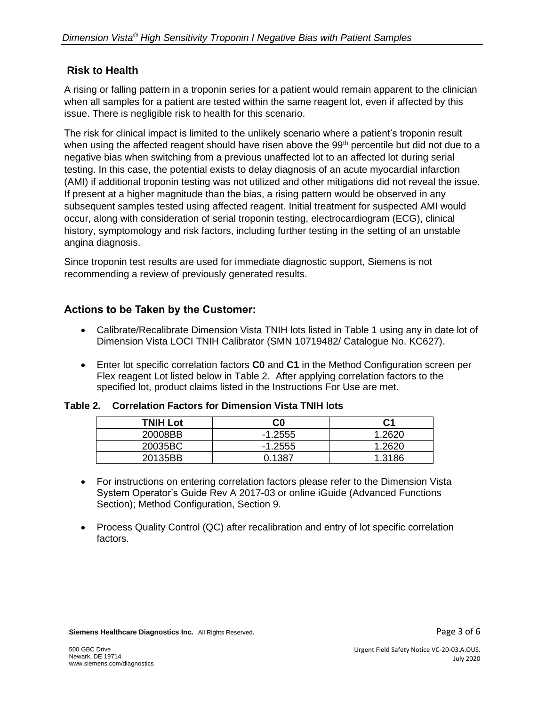# **Risk to Health**

A rising or falling pattern in a troponin series for a patient would remain apparent to the clinician when all samples for a patient are tested within the same reagent lot, even if affected by this issue. There is negligible risk to health for this scenario.

The risk for clinical impact is limited to the unlikely scenario where a patient's troponin result when using the affected reagent should have risen above the 99<sup>th</sup> percentile but did not due to a negative bias when switching from a previous unaffected lot to an affected lot during serial testing. In this case, the potential exists to delay diagnosis of an acute myocardial infarction (AMI) if additional troponin testing was not utilized and other mitigations did not reveal the issue. If present at a higher magnitude than the bias, a rising pattern would be observed in any subsequent samples tested using affected reagent. Initial treatment for suspected AMI would occur, along with consideration of serial troponin testing, electrocardiogram (ECG), clinical history, symptomology and risk factors, including further testing in the setting of an unstable angina diagnosis.

Since troponin test results are used for immediate diagnostic support, Siemens is not recommending a review of previously generated results.

# **Actions to be Taken by the Customer:**

- Calibrate/Recalibrate Dimension Vista TNIH lots listed in Table 1 using any in date lot of Dimension Vista LOCI TNIH Calibrator (SMN 10719482/ Catalogue No. KC627).
- Enter lot specific correlation factors **C0** and **C1** in the Method Configuration screen per Flex reagent Lot listed below in Table 2. After applying correlation factors to the specified lot, product claims listed in the Instructions For Use are met.

| Table 2. Correlation Factors for Dimension Vista TNIH lots |  |  |  |  |  |  |
|------------------------------------------------------------|--|--|--|--|--|--|
|------------------------------------------------------------|--|--|--|--|--|--|

| <b>TNIH Lot</b> | C0        |        |
|-----------------|-----------|--------|
| 20008BB         | $-1.2555$ | 1.2620 |
| 20035BC         | $-1.2555$ | 1.2620 |
| 20135BB         | 0.1387    | 1.3186 |

- For instructions on entering correlation factors please refer to the Dimension Vista System Operator's Guide Rev A 2017-03 or online iGuide (Advanced Functions Section); Method Configuration, Section 9.
- Process Quality Control (QC) after recalibration and entry of lot specific correlation factors.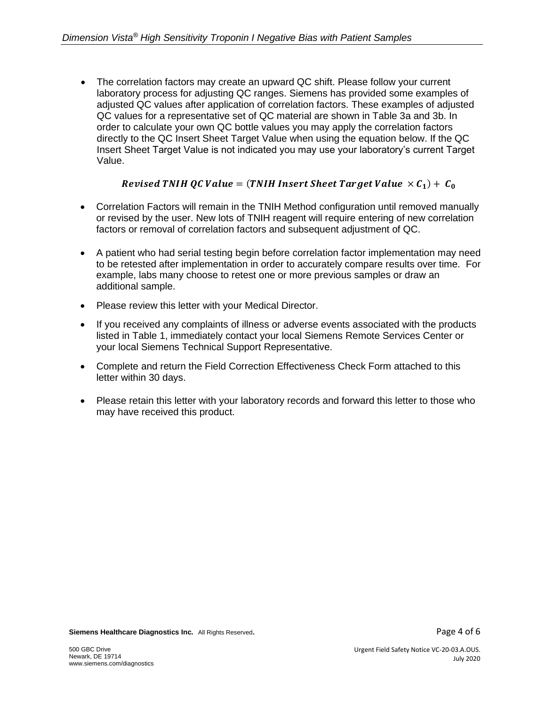• The correlation factors may create an upward QC shift. Please follow your current laboratory process for adjusting QC ranges. Siemens has provided some examples of adjusted QC values after application of correlation factors. These examples of adjusted QC values for a representative set of QC material are shown in Table 3a and 3b. In order to calculate your own QC bottle values you may apply the correlation factors directly to the QC Insert Sheet Target Value when using the equation below. If the QC Insert Sheet Target Value is not indicated you may use your laboratory's current Target Value.

# Revised TNIH QC Value = (TNIH Insert Sheet Target Value  $\times$  C<sub>1</sub>) + C<sub>0</sub>

- Correlation Factors will remain in the TNIH Method configuration until removed manually or revised by the user. New lots of TNIH reagent will require entering of new correlation factors or removal of correlation factors and subsequent adjustment of QC.
- A patient who had serial testing begin before correlation factor implementation may need to be retested after implementation in order to accurately compare results over time. For example, labs many choose to retest one or more previous samples or draw an additional sample.
- Please review this letter with your Medical Director.
- If you received any complaints of illness or adverse events associated with the products listed in Table 1, immediately contact your local Siemens Remote Services Center or your local Siemens Technical Support Representative.
- Complete and return the Field Correction Effectiveness Check Form attached to this letter within 30 days.
- Please retain this letter with your laboratory records and forward this letter to those who may have received this product.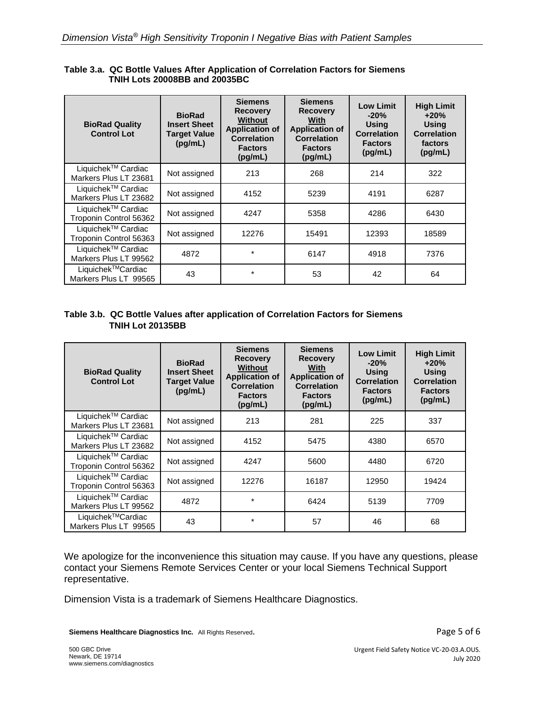| <b>BioRad Quality</b><br><b>Control Lot</b>              | <b>BioRad</b><br><b>Insert Sheet</b><br><b>Target Value</b><br>(pg/mL) | <b>Siemens</b><br><b>Recovery</b><br><b>Without</b><br><b>Application of</b><br><b>Correlation</b><br><b>Factors</b><br>(pq/mL) | <b>Siemens</b><br><b>Recovery</b><br>With<br><b>Application of</b><br><b>Correlation</b><br><b>Factors</b><br>(pg/mL) | <b>Low Limit</b><br>$-20%$<br><b>Using</b><br><b>Correlation</b><br><b>Factors</b><br>(pg/mL) | <b>High Limit</b><br>$+20%$<br><b>Using</b><br><b>Correlation</b><br>factors<br>(pg/mL) |
|----------------------------------------------------------|------------------------------------------------------------------------|---------------------------------------------------------------------------------------------------------------------------------|-----------------------------------------------------------------------------------------------------------------------|-----------------------------------------------------------------------------------------------|-----------------------------------------------------------------------------------------|
| Liquichek <sup>™</sup> Cardiac<br>Markers Plus LT 23681  | Not assigned                                                           | 213                                                                                                                             | 268                                                                                                                   | 214                                                                                           | 322                                                                                     |
| Liquichek <sup>™</sup> Cardiac<br>Markers Plus LT 23682  | Not assigned                                                           | 4152                                                                                                                            | 5239                                                                                                                  | 4191                                                                                          | 6287                                                                                    |
| Liquichek <sup>™</sup> Cardiac<br>Troponin Control 56362 | Not assigned                                                           | 4247                                                                                                                            | 5358                                                                                                                  | 4286                                                                                          | 6430                                                                                    |
| Liquichek <sup>™</sup> Cardiac<br>Troponin Control 56363 | Not assigned                                                           | 12276                                                                                                                           | 15491                                                                                                                 | 12393                                                                                         | 18589                                                                                   |
| Liquichek <sup>™</sup> Cardiac<br>Markers Plus LT 99562  | 4872                                                                   | $\star$                                                                                                                         | 6147                                                                                                                  | 4918                                                                                          | 7376                                                                                    |
| Liquichek™Cardiac<br>Markers Plus LT 99565               | 43                                                                     | $\star$                                                                                                                         | 53                                                                                                                    | 42                                                                                            | 64                                                                                      |

#### **Table 3.a. QC Bottle Values After Application of Correlation Factors for Siemens TNIH Lots 20008BB and 20035BC**

#### **Table 3.b. QC Bottle Values after application of Correlation Factors for Siemens TNIH Lot 20135BB**

| <b>BioRad Quality</b><br><b>Control Lot</b>              | <b>BioRad</b><br><b>Insert Sheet</b><br><b>Target Value</b><br>(pg/mL) | <b>Siemens</b><br><b>Recovery</b><br><b>Without</b><br><b>Application of</b><br><b>Correlation</b><br><b>Factors</b><br>(pq/mL) | <b>Siemens</b><br><b>Recovery</b><br>With<br><b>Application of</b><br><b>Correlation</b><br><b>Factors</b><br>(pq/mL) | <b>Low Limit</b><br>$-20%$<br><b>Using</b><br><b>Correlation</b><br><b>Factors</b><br>(pq/mL) | <b>High Limit</b><br>$+20%$<br><b>Using</b><br><b>Correlation</b><br><b>Factors</b><br>(pq/mL) |
|----------------------------------------------------------|------------------------------------------------------------------------|---------------------------------------------------------------------------------------------------------------------------------|-----------------------------------------------------------------------------------------------------------------------|-----------------------------------------------------------------------------------------------|------------------------------------------------------------------------------------------------|
| Liquichek™ Cardiac<br>Markers Plus LT 23681              | Not assigned                                                           | 213                                                                                                                             | 281                                                                                                                   | 225                                                                                           | 337                                                                                            |
| Liquichek <sup>™</sup> Cardiac<br>Markers Plus LT 23682  | Not assigned                                                           | 4152                                                                                                                            | 5475                                                                                                                  | 4380                                                                                          | 6570                                                                                           |
| Liquichek <sup>™</sup> Cardiac<br>Troponin Control 56362 | Not assigned                                                           | 4247                                                                                                                            | 5600                                                                                                                  | 4480                                                                                          | 6720                                                                                           |
| Liquichek <sup>™</sup> Cardiac<br>Troponin Control 56363 | Not assigned                                                           | 12276                                                                                                                           | 16187                                                                                                                 | 12950                                                                                         | 19424                                                                                          |
| Liquichek <sup>™</sup> Cardiac<br>Markers Plus LT 99562  | 4872                                                                   | $\star$                                                                                                                         | 6424                                                                                                                  | 5139                                                                                          | 7709                                                                                           |
| Liquichek™Cardiac<br>Markers Plus LT 99565               | 43                                                                     | $\star$                                                                                                                         | 57                                                                                                                    | 46                                                                                            | 68                                                                                             |

We apologize for the inconvenience this situation may cause. If you have any questions, please contact your Siemens Remote Services Center or your local Siemens Technical Support representative.

Dimension Vista is a trademark of Siemens Healthcare Diagnostics.

**Siemens Healthcare Diagnostics Inc.** All Rights Reserved. **Page 5 of 6** and  $P$  **Page 5 of 6**